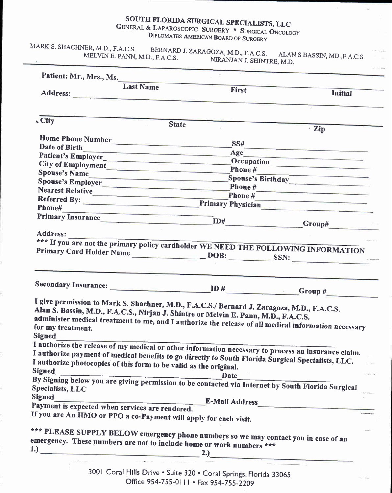# SOUTH FLORIDA SURGICAL SPECIALISTS, LLC

GENERAL & LAPAROSCOPIC SURGERY \* SURGICAL ONCOLOGY DIPLOMATES AMERICAN BOARD OF SURGERY

MARK S. SHACHNER, M.D., F.A.C.S. BERNARD J. ZARAGOZA, M.D., F.A.C.S. ALAN S BASSIN, MD., F.A.C.S. MELVIN E. PANN, M.D., F.A.C.S. NIRANJAN J. SHINTRE, M.D.

|                         | <b>Last Name</b>                                                  | First                                                                                                                                                       | <b>Initial</b>                                                                                                                                                                                                                 |
|-------------------------|-------------------------------------------------------------------|-------------------------------------------------------------------------------------------------------------------------------------------------------------|--------------------------------------------------------------------------------------------------------------------------------------------------------------------------------------------------------------------------------|
|                         |                                                                   |                                                                                                                                                             |                                                                                                                                                                                                                                |
| <b>City</b>             |                                                                   |                                                                                                                                                             |                                                                                                                                                                                                                                |
|                         | <b>State</b>                                                      |                                                                                                                                                             | · Zip                                                                                                                                                                                                                          |
|                         | Home Phone Number                                                 |                                                                                                                                                             |                                                                                                                                                                                                                                |
| <b>Date of Birth</b>    |                                                                   |                                                                                                                                                             | $SS#$                                                                                                                                                                                                                          |
|                         |                                                                   |                                                                                                                                                             | Age                                                                                                                                                                                                                            |
|                         |                                                                   | City of Employment<br>Phone #                                                                                                                               |                                                                                                                                                                                                                                |
|                         |                                                                   |                                                                                                                                                             | Spouse's Name Spouse's Name Spouse's Birthday Spouse's Birthday Spouse's Birthday Spouse's Birthday Spouse's Birthday Spouse's Birthday Spouse's Birthday Spouse's Birthday Spouse's Birthday Spouse's Birthday Spouse's Birth |
|                         |                                                                   |                                                                                                                                                             |                                                                                                                                                                                                                                |
|                         |                                                                   |                                                                                                                                                             |                                                                                                                                                                                                                                |
|                         |                                                                   |                                                                                                                                                             | Nearest Relative<br>Phone #<br>Phone #<br>Referred By: Primary Physician                                                                                                                                                       |
|                         | Phone#                                                            |                                                                                                                                                             |                                                                                                                                                                                                                                |
|                         |                                                                   |                                                                                                                                                             | Primary Insurance ID# Group# Group#                                                                                                                                                                                            |
|                         |                                                                   |                                                                                                                                                             |                                                                                                                                                                                                                                |
| Address:                |                                                                   |                                                                                                                                                             |                                                                                                                                                                                                                                |
|                         |                                                                   |                                                                                                                                                             | *** If you are not the primary policy cardholder WE NEED THE FOLLOWING INFORMATION                                                                                                                                             |
|                         |                                                                   |                                                                                                                                                             | Primary Card Holder Name DOB: SSN:                                                                                                                                                                                             |
|                         |                                                                   |                                                                                                                                                             |                                                                                                                                                                                                                                |
|                         |                                                                   |                                                                                                                                                             |                                                                                                                                                                                                                                |
|                         |                                                                   |                                                                                                                                                             |                                                                                                                                                                                                                                |
|                         |                                                                   |                                                                                                                                                             |                                                                                                                                                                                                                                |
|                         |                                                                   | I give permission to Mark S. Shachner, M.D., F.A.C.S./ Bernard J. Zaragoza, M.D., F.A.C.S.                                                                  |                                                                                                                                                                                                                                |
|                         |                                                                   | Alan S. Bassin, M.D., F.A.C.S., Nirjan J. Shintre or Melvin E. Pann, M.D., F.A.C.S.                                                                         |                                                                                                                                                                                                                                |
| for my treatment.       |                                                                   |                                                                                                                                                             | administer medical treatment to me, and I authorize the release of all medical information necessary                                                                                                                           |
| <b>Signed</b>           |                                                                   |                                                                                                                                                             |                                                                                                                                                                                                                                |
|                         |                                                                   |                                                                                                                                                             |                                                                                                                                                                                                                                |
|                         |                                                                   |                                                                                                                                                             | I authorize the release of my medical or other information necessary to process an insurance claim.                                                                                                                            |
|                         | I authorize photocopies of this form to be valid as the original. | I authorize payment of medical benefits to go directly to South Florida Surgical Specialists, LLC.                                                          |                                                                                                                                                                                                                                |
| <b>Signed</b>           |                                                                   |                                                                                                                                                             |                                                                                                                                                                                                                                |
|                         |                                                                   |                                                                                                                                                             |                                                                                                                                                                                                                                |
| <b>Specialists, LLC</b> |                                                                   |                                                                                                                                                             | Signed<br>By Signing below you are giving permission to be contacted via Internet by South Florida Surgical                                                                                                                    |
| <b>Signed</b>           |                                                                   |                                                                                                                                                             |                                                                                                                                                                                                                                |
|                         | Payment is expected when services are rendered.                   |                                                                                                                                                             | E-Mail Address                                                                                                                                                                                                                 |
|                         | If you are An HMO or PPO a co-Payment will apply for each visit.  |                                                                                                                                                             |                                                                                                                                                                                                                                |
|                         |                                                                   |                                                                                                                                                             |                                                                                                                                                                                                                                |
|                         |                                                                   |                                                                                                                                                             |                                                                                                                                                                                                                                |
|                         |                                                                   | *** PLEASE SUPPLY BELOW emergency phone numbers so we may contact you in case of an<br>emergency. These numbers are not to include home or work numbers *** |                                                                                                                                                                                                                                |

3001 Coral Hills Drive . Suite 320 . Coral Springs, Florida 33065 Office 954-755-0111 · Fax 954-755-2209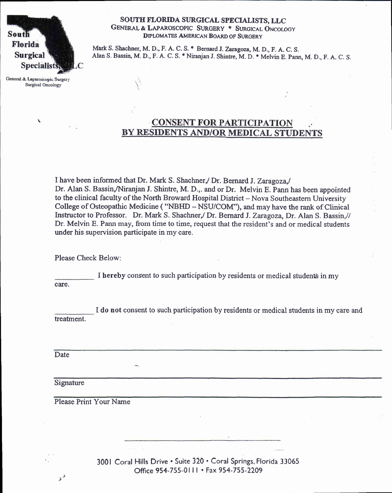South Florida **Surgical Specialis** 

General & Laparoscopic Surgery **Surgical Oncology** 

#### SOUTH FLORIDA SURGICAL SPECIALISTS, LLC GENERAL & LAPAROSCOPIC SURGERY \* SURGICAL ONCOLOGY DIPLOMATES AMERICAN BOARD OF SURGERY

Mark S. Shachner, M. D., F. A. C. S. \* Bernard J. Zaragoza, M. D., F. A. C. S. Alan S. Bassin, M. D., F. A. C. S. \* Niranjan J. Shintre, M. D. \* Melvin E. Pann, M. D., F. A. C. S.

# **CONSENT FOR PARTICIPATION** BY RESIDENTS AND/OR MEDICAL STUDENTS

I have been informed that Dr. Mark S. Shachner, / Dr. Bernard J. Zaragoza, Dr. Alan S. Bassin,/Niranjan J. Shintre, M. D.,. and or Dr. Melvin E. Pann has been appointed to the clinical faculty of the North Broward Hospital District - Nova Southeastern University College of Osteopathic Medicine ( "NBIID -NSU/COM"), and may have the rank of Clinical Instructor to Professor. Dr. Mark S. Shachner,/ Dr. Bernard J. Zaragoza, Dr. Alan S. Bassin,// Dr. Melvin E. Pann may, from time to time, request that the resident's and or medical students under his supervision participate in my care.

Please Check Below:

I hereby consent to such participation by residents or medical students in my care.

I do not consent to such participation by residents or medical students in my care and treatment.

Date

Signature

J  $\mathbf{\hat{z}}^{\,\prime}$ 

Please Print Your Name

3001 Coral Hills Drive . Suite 320 . Coral Springs, Florida 33065 Office 954-755-0lll ' Fax 954-755-2209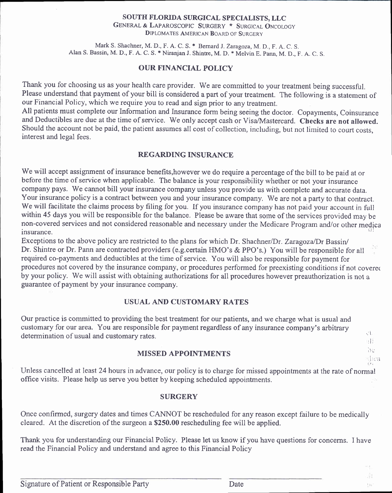#### SOUTH FLORIDA SURGICAL SPECIALISTS, LLC

GENERAL & LAPAROSCOPIC SURGERY \* SURGICAL ONCOLOGY **DIPLOMATES AMERICAN BOARD OF SURGERY** 

Mark S. Shachner, M. D., F. A. C. S. \* Bernard J. Zaragoza, M. D., F. A. C. S. Alan S. Bassin, M. D., F. A. C. S. \* Niranjan J. Shintre, M. D. \* Melvin E. Pann, M. D., F. A. C. S.

#### **OUR FINANCIAL POLICY**

Thank you for choosing us as your health care provider. We are committed to your treatment being successful. Please understand that payment of your bill is considered a part of your treatment. The following is a statement of our Financial Policy, which we require you to read and sign prior to any treatment.

All patients must complete our Information and Insurance form being seeing the doctor. Copayments, Coinsurance and Deductibles are due at the time of service. We only accept cash or Visa/Mastercard. Checks are not allowed. Should the account not be paid, the patient assumes all cost of collection, including, but not limited to court costs, interest and legal fees.

## **REGARDING INSURANCE**

We will accept assignment of insurance benefits, however we do require a percentage of the bill to be paid at or before the time of service when applicable. The balance is your responsibility whether or not your insurance company pays. We cannot bill your insurance company unless you provide us with complete and accurate data. Your insurance policy is a contract between you and your insurance company. We are not a party to that contract. We will facilitate the claims process by filing for you. If you insurance company has not paid your account in full within 45 days you will be responsible for the balance. Please be aware that some of the services provided may be non-covered services and not considered reasonable and necessary under the Medicare Program and/or other medica insurance.

Exceptions to the above policy are restricted to the plans for which Dr. Shachner/Dr. Zaragoza/Dr Bassin/ Dr. Shintre or Dr. Pann are contracted providers (e.g. certain HMO's & PPO's.) You will be responsible for all required co-payments and deductibles at the time of service. You will also be responsible for payment for procedures not covered by the insurance company, or procedures performed for preexisting conditions if not covered by your policy. We will assist with obtaining authorizations for all procedures however preauthorization is not a guarantee of payment by your insurance company.

#### **USUAL AND CUSTOMARY RATES**

Our practice is committed to providing the best treatment for our patients, and we charge what is usual and customary for our area. You are responsible for payment regardless of any insurance company's arbitrary determination of usual and customary rates.

#### **MISSED APPOINTMENTS**

Unless cancelled at least 24 hours in advance, our policy is to charge for missed appointments at the rate of normal office visits. Please help us serve you better by keeping scheduled appointments.

#### **SURGERY**

Once confirmed, surgery dates and times CANNOT be rescheduled for any reason except failure to be medically cleared. At the discretion of the surgeon a \$250.00 rescheduling fee will be applied.

Thank you for understanding our Financial Policy. Please let us know if you have questions for concerns. I have read the Financial Policy and understand and agree to this Financial Policy

 $\mathcal{A}$ 

桂川 Ъċ

ៅរបង

詩

 $\langle \cdot \rangle_{\uparrow}$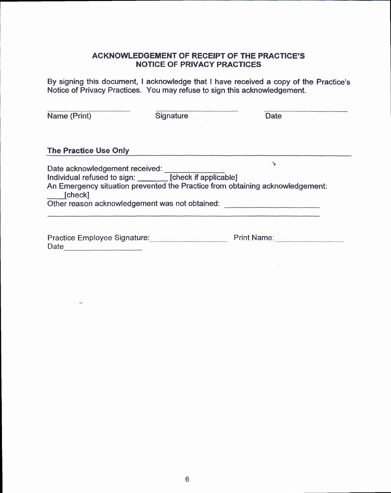## ACKNOWLEDGEMENT OF REGEIPT OF THE PRAGTICE'S NOTICE OF PRIVACY PRACTICES

By signing this document, I acknowledge that I have received a copy of the Practice's Notice of Privacy Practices. You may refuse to sign this acknowledgement.

| Name (Print)                                | Signature                                                                                           | <b>Date</b>                                                                   |
|---------------------------------------------|-----------------------------------------------------------------------------------------------------|-------------------------------------------------------------------------------|
| <b>The Practice Use Only</b>                |                                                                                                     |                                                                               |
| Date acknowledgement received:<br>[check]   | Individual refused to sign: [check if applicable]<br>Other reason acknowledgement was not obtained: | An Emergency situation prevented the Practice from obtaining acknowledgement: |
| Practice Employee Signature:<br><b>Date</b> |                                                                                                     | <b>Print Name:</b>                                                            |

 $1 - 1 - 14$